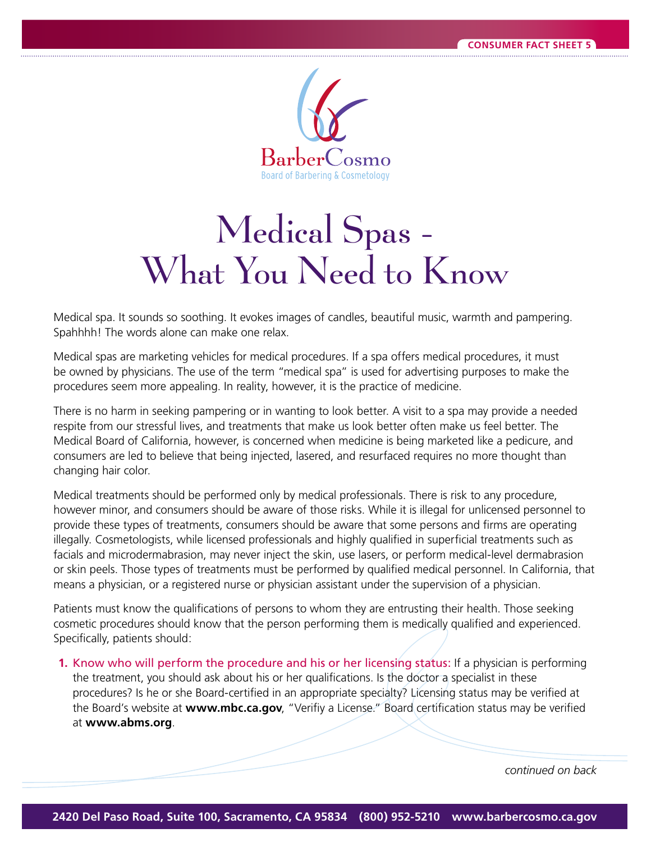

## Medical Spas - What You Need to Know

Medical spa. It sounds so soothing. It evokes images of candles, beautiful music, warmth and pampering. Spahhhh! The words alone can make one relax.

Medical spas are marketing vehicles for medical procedures. If a spa offers medical procedures, it must be owned by physicians. The use of the term "medical spa" is used for advertising purposes to make the procedures seem more appealing. In reality, however, it is the practice of medicine.

There is no harm in seeking pampering or in wanting to look better. A visit to a spa may provide a needed respite from our stressful lives, and treatments that make us look better often make us feel better. The Medical Board of California, however, is concerned when medicine is being marketed like a pedicure, and consumers are led to believe that being injected, lasered, and resurfaced requires no more thought than changing hair color.

Medical treatments should be performed only by medical professionals. There is risk to any procedure, however minor, and consumers should be aware of those risks. While it is illegal for unlicensed personnel to provide these types of treatments, consumers should be aware that some persons and firms are operating illegally. Cosmetologists, while licensed professionals and highly qualified in superficial treatments such as facials and microdermabrasion, may never inject the skin, use lasers, or perform medical-level dermabrasion or skin peels. Those types of treatments must be performed by qualified medical personnel. In California, that means a physician, or a registered nurse or physician assistant under the supervision of a physician.

Patients must know the qualifications of persons to whom they are entrusting their health. Those seeking cosmetic procedures should know that the person performing them is medically qualified and experienced. Specifically, patients should:

**1.** Know who will perform the procedure and his or her licensing status: If a physician is performing the treatment, you should ask about his or her qualifications. Is the doctor a specialist in these procedures? Is he or she Board-certified in an appropriate specialty? Licensing status may be verified at the Board's website at **www.mbc.ca.gov**, "Verifiy a License." Board certification status may be verified at **www.abms.org**.

*continued on back*